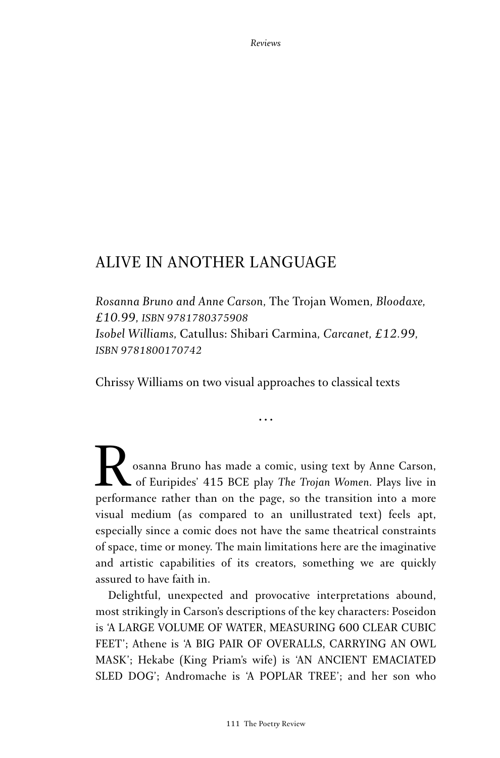## ALIVE IN ANOTHER LANGUAGE

*Rosanna Bruno and Anne Carson,* The Trojan Women*, Bloodaxe, £10.99, ISBN 9781780375908 Isobel Williams,* Catullus: Shibari Carmina*, Carcanet, £12.99, ISBN 9781800170742*

Chrissy Williams on two visual approaches to classical texts

**...**

osanna Bruno has made a comic, using text by Anne Carson, of Euripides' 415 BCE play *The Trojan Women*. Plays live in performance rather than on the page, so the transition into a more visual medium (as compared to an unillustrated text) feels apt, especially since a comic does not have the same theatrical constraints of space, time or money. The main limitations here are the imaginative and artistic capabilities of its creators, something we are quickly assured to have faith in.

Delightful, unexpected and provocative interpretations abound, most strikingly in Carson's descriptions of the key characters: Poseidon is 'A LARGE VOLUME OF WATER, MEASURING 600 CLEAR CUBIC FEET'; Athene is 'A BIG PAIR OF OVERALLS, CARRYING AN OWL MASK'; Hekabe (King Priam's wife) is 'AN ANCIENT EMACIATED SLED DOG'; Andromache is 'A POPLAR TREE'; and her son who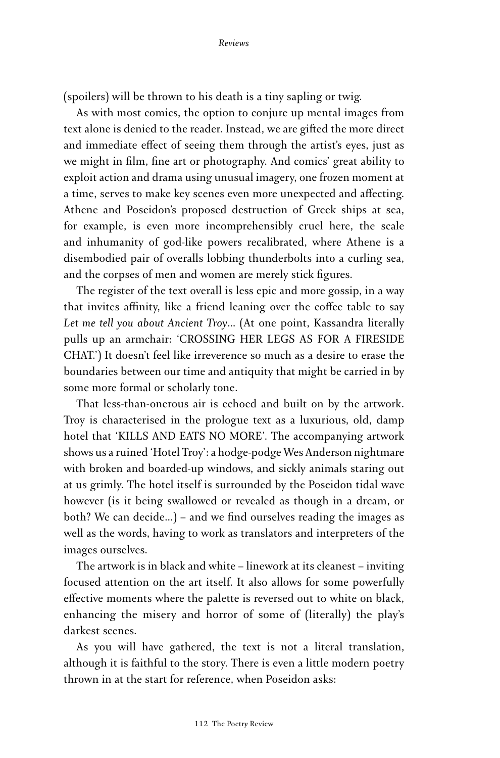(spoilers) will be thrown to his death is a tiny sapling or twig.

As with most comics, the option to conjure up mental images from text alone is denied to the reader. Instead, we are gifted the more direct and immediate effect of seeing them through the artist's eyes, just as we might in film, fine art or photography. And comics' great ability to exploit action and drama using unusual imagery, one frozen moment at a time, serves to make key scenes even more unexpected and affecting. Athene and Poseidon's proposed destruction of Greek ships at sea, for example, is even more incomprehensibly cruel here, the scale and inhumanity of god-like powers recalibrated, where Athene is a disembodied pair of overalls lobbing thunderbolts into a curling sea, and the corpses of men and women are merely stick figures.

The register of the text overall is less epic and more gossip, in a way that invites affinity, like a friend leaning over the coffee table to say *Let me tell you about Ancient Troy*… (At one point, Kassandra literally pulls up an armchair: 'CROSSING HER LEGS AS FOR A FIRESIDE CHAT.') It doesn't feel like irreverence so much as a desire to erase the boundaries between our time and antiquity that might be carried in by some more formal or scholarly tone.

That less-than-onerous air is echoed and built on by the artwork. Troy is characterised in the prologue text as a luxurious, old, damp hotel that 'KILLS AND EATS NO MORE'. The accompanying artwork shows us a ruined 'Hotel Troy': a hodge-podge Wes Anderson nightmare with broken and boarded-up windows, and sickly animals staring out at us grimly. The hotel itself is surrounded by the Poseidon tidal wave however (is it being swallowed or revealed as though in a dream, or both? We can decide…) – and we find ourselves reading the images as well as the words, having to work as translators and interpreters of the images ourselves.

The artwork is in black and white – linework at its cleanest – inviting focused attention on the art itself. It also allows for some powerfully effective moments where the palette is reversed out to white on black, enhancing the misery and horror of some of (literally) the play's darkest scenes.

As you will have gathered, the text is not a literal translation, although it is faithful to the story. There is even a little modern poetry thrown in at the start for reference, when Poseidon asks: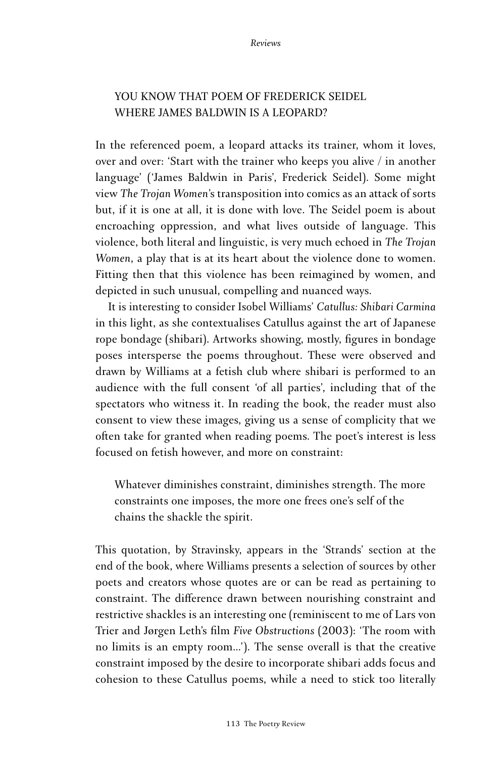## YOU KNOW THAT POEM OF FREDERICK SEIDEL WHERE JAMES BALDWIN IS A LEOPARD?

In the referenced poem, a leopard attacks its trainer, whom it loves, over and over: 'Start with the trainer who keeps you alive / in another language' ('James Baldwin in Paris', Frederick Seidel). Some might view *The Trojan Women*'s transposition into comics as an attack of sorts but, if it is one at all, it is done with love. The Seidel poem is about encroaching oppression, and what lives outside of language. This violence, both literal and linguistic, is very much echoed in *The Trojan Women*, a play that is at its heart about the violence done to women. Fitting then that this violence has been reimagined by women, and depicted in such unusual, compelling and nuanced ways.

It is interesting to consider Isobel Williams' *Catullus: Shibari Carmina* in this light, as she contextualises Catullus against the art of Japanese rope bondage (shibari). Artworks showing, mostly, figures in bondage poses intersperse the poems throughout. These were observed and drawn by Williams at a fetish club where shibari is performed to an audience with the full consent 'of all parties', including that of the spectators who witness it. In reading the book, the reader must also consent to view these images, giving us a sense of complicity that we often take for granted when reading poems. The poet's interest is less focused on fetish however, and more on constraint:

Whatever diminishes constraint, diminishes strength. The more constraints one imposes, the more one frees one's self of the chains the shackle the spirit.

This quotation, by Stravinsky, appears in the 'Strands' section at the end of the book, where Williams presents a selection of sources by other poets and creators whose quotes are or can be read as pertaining to constraint. The difference drawn between nourishing constraint and restrictive shackles is an interesting one (reminiscent to me of Lars von Trier and Jørgen Leth's film *Five Obstructions* (2003): 'The room with no limits is an empty room…'). The sense overall is that the creative constraint imposed by the desire to incorporate shibari adds focus and cohesion to these Catullus poems, while a need to stick too literally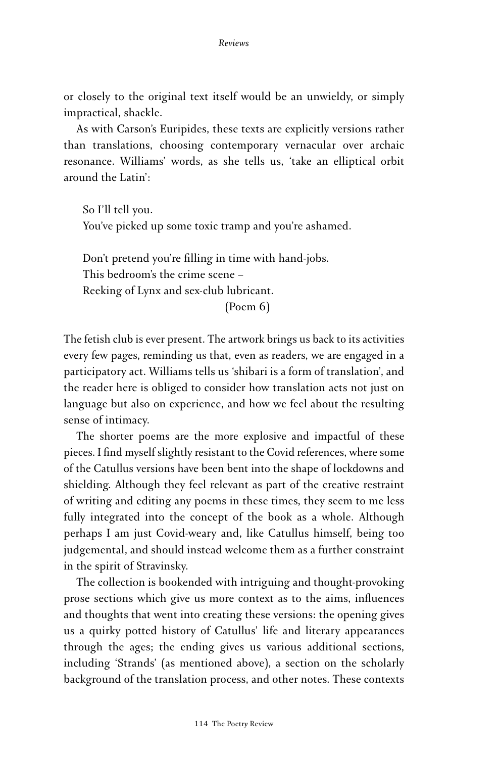or closely to the original text itself would be an unwieldy, or simply impractical, shackle.

As with Carson's Euripides, these texts are explicitly versions rather than translations, choosing contemporary vernacular over archaic resonance. Williams' words, as she tells us, 'take an elliptical orbit around the Latin':

So I'll tell you. You've picked up some toxic tramp and you're ashamed.

Don't pretend you're filling in time with hand-jobs. This bedroom's the crime scene – Reeking of Lynx and sex-club lubricant. (Poem 6)

The fetish club is ever present. The artwork brings us back to its activities every few pages, reminding us that, even as readers, we are engaged in a participatory act. Williams tells us 'shibari is a form of translation', and the reader here is obliged to consider how translation acts not just on language but also on experience, and how we feel about the resulting sense of intimacy.

The shorter poems are the more explosive and impactful of these pieces. I find myself slightly resistant to the Covid references, where some of the Catullus versions have been bent into the shape of lockdowns and shielding. Although they feel relevant as part of the creative restraint of writing and editing any poems in these times, they seem to me less fully integrated into the concept of the book as a whole. Although perhaps I am just Covid-weary and, like Catullus himself, being too judgemental, and should instead welcome them as a further constraint in the spirit of Stravinsky.

The collection is bookended with intriguing and thought-provoking prose sections which give us more context as to the aims, influences and thoughts that went into creating these versions: the opening gives us a quirky potted history of Catullus' life and literary appearances through the ages; the ending gives us various additional sections, including 'Strands' (as mentioned above), a section on the scholarly background of the translation process, and other notes. These contexts